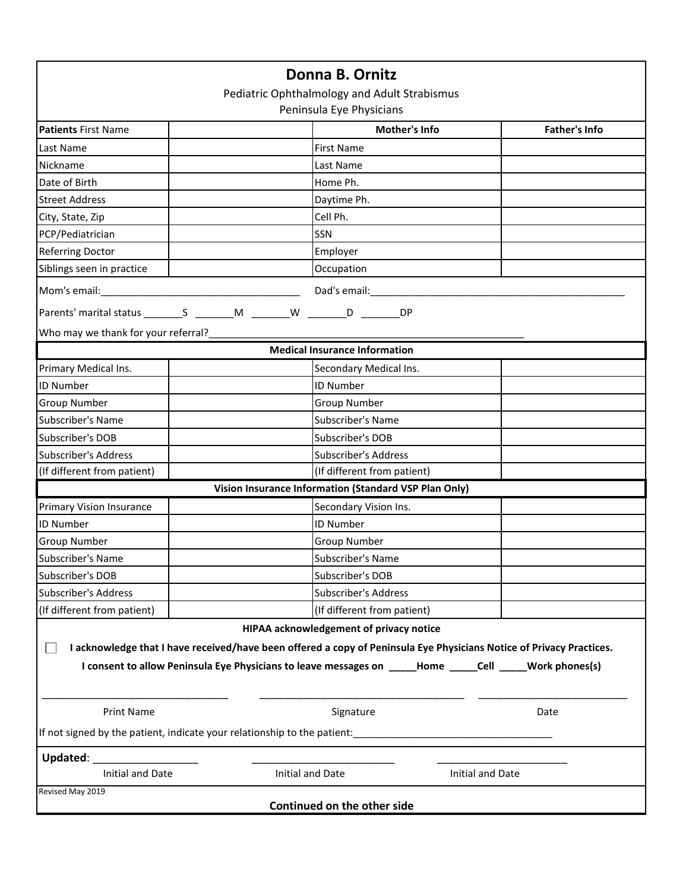|                                                                          | Donna B. Ornitz                                                                                                      |                      |
|--------------------------------------------------------------------------|----------------------------------------------------------------------------------------------------------------------|----------------------|
|                                                                          | Pediatric Ophthalmology and Adult Strabismus                                                                         |                      |
|                                                                          | Peninsula Eye Physicians                                                                                             |                      |
| <b>Patients First Name</b>                                               | Mother's Info                                                                                                        | <b>Father's Info</b> |
| Last Name                                                                | <b>First Name</b>                                                                                                    |                      |
| Nickname                                                                 | Last Name                                                                                                            |                      |
| Date of Birth                                                            | Home Ph.                                                                                                             |                      |
| <b>Street Address</b>                                                    | Daytime Ph.                                                                                                          |                      |
| City, State, Zip                                                         | Cell Ph.                                                                                                             |                      |
| PCP/Pediatrician                                                         | SSN                                                                                                                  |                      |
| <b>Referring Doctor</b>                                                  | Employer                                                                                                             |                      |
| Siblings seen in practice                                                | Occupation                                                                                                           |                      |
|                                                                          | Dad's email: Dad's email:                                                                                            |                      |
|                                                                          | <b>DP</b>                                                                                                            |                      |
| Who may we thank for your referral?________                              |                                                                                                                      |                      |
|                                                                          | <b>Medical Insurance Information</b>                                                                                 |                      |
| Primary Medical Ins.                                                     | Secondary Medical Ins.                                                                                               |                      |
| <b>ID Number</b>                                                         | ID Number                                                                                                            |                      |
| <b>Group Number</b>                                                      | <b>Group Number</b>                                                                                                  |                      |
| Subscriber's Name                                                        | Subscriber's Name                                                                                                    |                      |
| Subscriber's DOB                                                         | Subscriber's DOB                                                                                                     |                      |
| <b>Subscriber's Address</b>                                              | <b>Subscriber's Address</b>                                                                                          |                      |
| (If different from patient)                                              | (If different from patient)                                                                                          |                      |
|                                                                          | Vision Insurance Information (Standard VSP Plan Only)                                                                |                      |
| <b>Primary Vision Insurance</b>                                          | Secondary Vision Ins.                                                                                                |                      |
| <b>ID Number</b>                                                         | <b>ID Number</b>                                                                                                     |                      |
| <b>Group Number</b>                                                      | <b>Group Number</b>                                                                                                  |                      |
| Subscriber's Name                                                        | Subscriber's Name                                                                                                    |                      |
| Subscriber's DOB                                                         | Subscriber's DOB                                                                                                     |                      |
| <b>Subscriber's Address</b>                                              | <b>Subscriber's Address</b>                                                                                          |                      |
| (If different from patient)                                              | (If different from patient)                                                                                          |                      |
|                                                                          | HIPAA acknowledgement of privacy notice                                                                              |                      |
|                                                                          | I acknowledge that I have received/have been offered a copy of Peninsula Eye Physicians Notice of Privacy Practices. |                      |
|                                                                          | I consent to allow Peninsula Eye Physicians to leave messages on ____Home _____Cell _____Work phones(s)              |                      |
|                                                                          |                                                                                                                      |                      |
| <b>Print Name</b>                                                        | Signature                                                                                                            | Date                 |
| If not signed by the patient, indicate your relationship to the patient: |                                                                                                                      |                      |
|                                                                          |                                                                                                                      |                      |
| Updated: Updated:<br><b>Initial and Date</b>                             | Initial and Date                                                                                                     | Initial and Date     |
| Revised May 2019                                                         |                                                                                                                      |                      |
|                                                                          | Continued on the other side                                                                                          |                      |